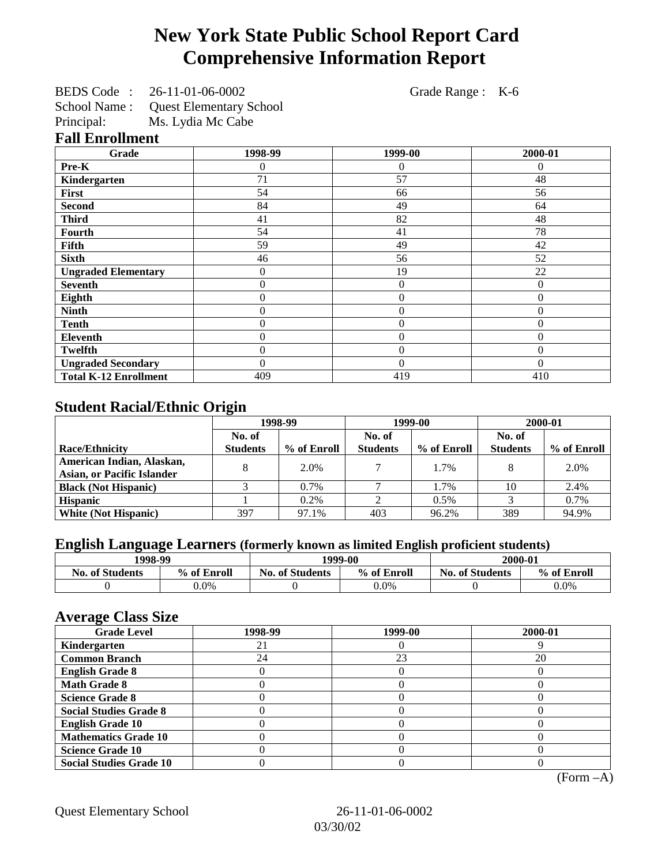# **New York State Public School Report Card Comprehensive Information Report**

| BEDS Code: 26-11-01-06-0002          |                   | Grade Range : K-6 |                |  |
|--------------------------------------|-------------------|-------------------|----------------|--|
| School Name: Quest Elementary School |                   |                   |                |  |
| Principal:                           | Ms. Lydia Mc Cabe |                   |                |  |
| <b>Fall Enrollment</b>               |                   |                   |                |  |
| Grade                                | 1998-99           | 1999-00           | 2000-01        |  |
| Pre-K                                | $\overline{0}$    | $\theta$          | $\theta$       |  |
| Kindergarten                         | 71                | 57                | 48             |  |
| First                                | 54                | 66                | 56             |  |
| <b>Second</b>                        | 84                | 49                | 64             |  |
| <b>Third</b>                         | 41                | 82                | 48             |  |
| Fourth                               | 54                | 41                | 78             |  |
| Fifth                                | 59                | 49                | 42             |  |
| <b>Sixth</b>                         | 46                | 56                | 52             |  |
| <b>Ungraded Elementary</b>           | $\boldsymbol{0}$  | 19                | 22             |  |
| <b>Seventh</b>                       | $\boldsymbol{0}$  | $\overline{0}$    | $\mathbf{0}$   |  |
| Eighth                               | $\boldsymbol{0}$  | $\boldsymbol{0}$  | $\overline{0}$ |  |
| <b>Ninth</b>                         | $\boldsymbol{0}$  | $\boldsymbol{0}$  | $\theta$       |  |
| <b>Tenth</b>                         | $\boldsymbol{0}$  | $\overline{0}$    | $\mathbf{0}$   |  |
| Eleventh                             | 0                 | $\overline{0}$    | $\overline{0}$ |  |
| <b>Twelfth</b>                       | $\boldsymbol{0}$  | $\boldsymbol{0}$  | $\overline{0}$ |  |
| <b>Ungraded Secondary</b>            | $\boldsymbol{0}$  | $\overline{0}$    | $\theta$       |  |
| <b>Total K-12 Enrollment</b>         | 409               | 419               | 410            |  |

## **Student Racial/Ethnic Origin**

|                                   | 1998-99         |             | 1999-00         |             | 2000-01         |             |
|-----------------------------------|-----------------|-------------|-----------------|-------------|-----------------|-------------|
|                                   | No. of          |             | No. of          |             | No. of          |             |
| <b>Race/Ethnicity</b>             | <b>Students</b> | % of Enroll | <b>Students</b> | % of Enroll | <b>Students</b> | % of Enroll |
| American Indian, Alaskan,         |                 | 2.0%        |                 | 1.7%        |                 | 2.0%        |
| <b>Asian, or Pacific Islander</b> |                 |             |                 |             |                 |             |
| <b>Black (Not Hispanic)</b>       |                 | $0.7\%$     |                 | 1.7%        | 10              | 2.4%        |
| <b>Hispanic</b>                   |                 | 0.2%        |                 | 0.5%        |                 | 0.7%        |
| <b>White (Not Hispanic)</b>       | 397             | 97.1%       | 403             | 96.2%       | 389             | 94.9%       |

## **English Language Learners (formerly known as limited English proficient students)**

| 1998-99                |             | 1999-00                |             | 2000-01              |             |
|------------------------|-------------|------------------------|-------------|----------------------|-------------|
| <b>No. of Students</b> | % of Enroll | <b>No. of Students</b> | % of Enroll | No.<br>. of Students | % of Enroll |
|                        | $0.0\%$     |                        | $0.0\%$     |                      | $0.0\%$     |

#### **Average Class Size**

| $-7$<br><b>Grade Level</b>     | 1998-99 | 1999-00 | 2000-01 |
|--------------------------------|---------|---------|---------|
| Kindergarten                   | ΖI      |         |         |
| <b>Common Branch</b>           | 24      | 23      | 20      |
| <b>English Grade 8</b>         |         |         |         |
| <b>Math Grade 8</b>            |         |         |         |
| <b>Science Grade 8</b>         |         |         |         |
| <b>Social Studies Grade 8</b>  |         |         |         |
| <b>English Grade 10</b>        |         |         |         |
| <b>Mathematics Grade 10</b>    |         |         |         |
| <b>Science Grade 10</b>        |         |         |         |
| <b>Social Studies Grade 10</b> |         |         |         |

(Form –A)